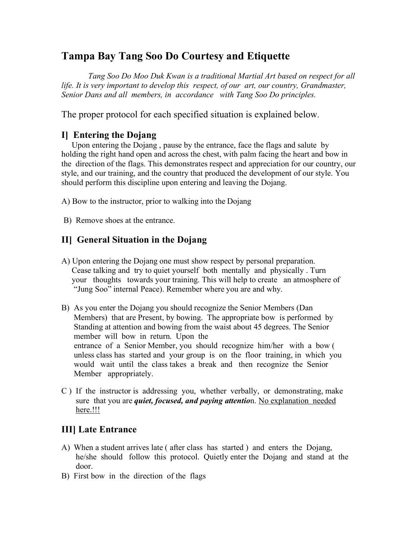# **Tampa Bay Tang Soo Do Courtesy and Etiquette**

 *Tang Soo Do Moo Duk Kwan is a traditional Martial Art based on respect for all life. It is very important to develop this respect, of our art, our country, Grandmaster, Senior Dans and all members, in accordance with Tang Soo Do principles.*

The proper protocol for each specified situation is explained below.

## **I] Entering the Dojang**

 Upon entering the Dojang , pause by the entrance, face the flags and salute by holding the right hand open and across the chest, with palm facing the heart and bow in the direction of the flags. This demonstrates respect and appreciation for our country, our style, and our training, and the country that produced the development of our style. You should perform this discipline upon entering and leaving the Dojang.

A) Bow to the instructor, prior to walking into the Dojang

B) Remove shoes at the entrance.

## **II] General Situation in the Dojang**

- A) Upon entering the Dojang one must show respect by personal preparation. Cease talking and try to quiet yourself both mentally and physically . Turn your thoughts towards your training. This will help to create an atmosphere of "Jung Soo" internal Peace). Remember where you are and why.
- B) As you enter the Dojang you should recognize the Senior Members (Dan Members) that are Present, by bowing. The appropriate bow is performed by Standing at attention and bowing from the waist about 45 degrees. The Senior member will bow in return. Upon the entrance of a Senior Member, you should recognize him/her with a bow ( unless class has started and your group is on the floor training, in which you would wait until the class takes a break and then recognize the Senior Member appropriately.
- C ) If the instructor is addressing you, whether verbally, or demonstrating, make sure that you are *quiet, focused, and paying attentio*n. No explanation needed here.!!!

#### **III] Late Entrance**

- A) When a student arrives late ( after class has started ) and enters the Dojang, he/she should follow this protocol. Quietly enter the Dojang and stand at the door.
- B) First bow in the direction of the flags